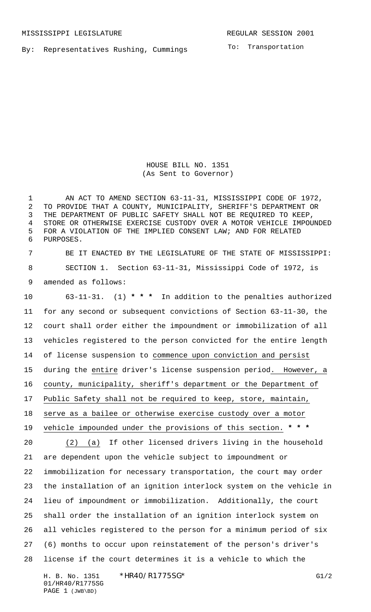MISSISSIPPI LEGISLATURE **REGULAR SESSION 2001** 

By: Representatives Rushing, Cummings

To: Transportation

HOUSE BILL NO. 1351 (As Sent to Governor)

 AN ACT TO AMEND SECTION 63-11-31, MISSISSIPPI CODE OF 1972, TO PROVIDE THAT A COUNTY, MUNICIPALITY, SHERIFF'S DEPARTMENT OR THE DEPARTMENT OF PUBLIC SAFETY SHALL NOT BE REQUIRED TO KEEP, STORE OR OTHERWISE EXERCISE CUSTODY OVER A MOTOR VEHICLE IMPOUNDED FOR A VIOLATION OF THE IMPLIED CONSENT LAW; AND FOR RELATED PURPOSES.

 BE IT ENACTED BY THE LEGISLATURE OF THE STATE OF MISSISSIPPI: SECTION 1. Section 63-11-31, Mississippi Code of 1972, is amended as follows:

H. B. No. 1351 \*HR40/R1775SG\* G1/2 63-11-31. (1) **\* \* \*** In addition to the penalties authorized for any second or subsequent convictions of Section 63-11-30, the court shall order either the impoundment or immobilization of all vehicles registered to the person convicted for the entire length of license suspension to commence upon conviction and persist 15 during the entire driver's license suspension period. However, a county, municipality, sheriff's department or the Department of Public Safety shall not be required to keep, store, maintain, serve as a bailee or otherwise exercise custody over a motor vehicle impounded under the provisions of this section. **\* \* \*** (2) (a) If other licensed drivers living in the household are dependent upon the vehicle subject to impoundment or immobilization for necessary transportation, the court may order the installation of an ignition interlock system on the vehicle in lieu of impoundment or immobilization. Additionally, the court shall order the installation of an ignition interlock system on all vehicles registered to the person for a minimum period of six (6) months to occur upon reinstatement of the person's driver's license if the court determines it is a vehicle to which the

01/HR40/R1775SG PAGE 1 (JWB\BD)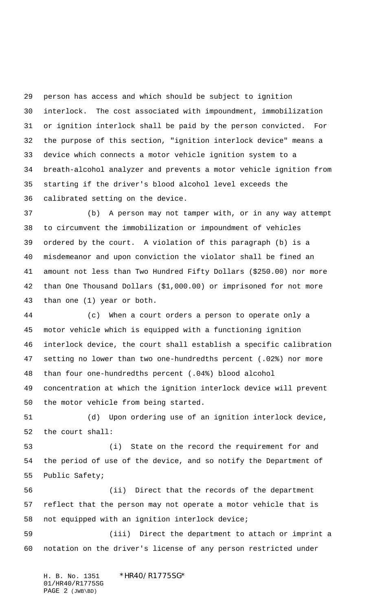person has access and which should be subject to ignition interlock. The cost associated with impoundment, immobilization or ignition interlock shall be paid by the person convicted. For the purpose of this section, "ignition interlock device" means a device which connects a motor vehicle ignition system to a breath-alcohol analyzer and prevents a motor vehicle ignition from starting if the driver's blood alcohol level exceeds the calibrated setting on the device.

 (b) A person may not tamper with, or in any way attempt to circumvent the immobilization or impoundment of vehicles ordered by the court. A violation of this paragraph (b) is a misdemeanor and upon conviction the violator shall be fined an amount not less than Two Hundred Fifty Dollars (\$250.00) nor more than One Thousand Dollars (\$1,000.00) or imprisoned for not more than one (1) year or both.

 (c) When a court orders a person to operate only a motor vehicle which is equipped with a functioning ignition interlock device, the court shall establish a specific calibration setting no lower than two one-hundredths percent (.02%) nor more than four one-hundredths percent (.04%) blood alcohol concentration at which the ignition interlock device will prevent

the motor vehicle from being started.

 (d) Upon ordering use of an ignition interlock device, the court shall:

 (i) State on the record the requirement for and the period of use of the device, and so notify the Department of Public Safety;

 (ii) Direct that the records of the department reflect that the person may not operate a motor vehicle that is not equipped with an ignition interlock device;

 (iii) Direct the department to attach or imprint a notation on the driver's license of any person restricted under

H. B. No. 1351 \*HR40/R1775SG\* 01/HR40/R1775SG PAGE 2 (JWB\BD)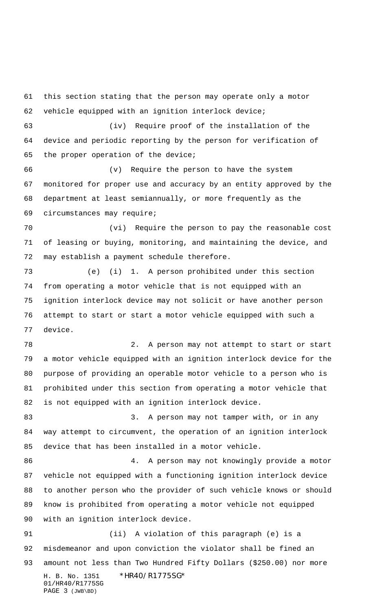H. B. No. 1351 \*HR40/R1775SG\* 01/HR40/R1775SG PAGE 3 (JWB\BD) this section stating that the person may operate only a motor vehicle equipped with an ignition interlock device; (iv) Require proof of the installation of the device and periodic reporting by the person for verification of the proper operation of the device; (v) Require the person to have the system monitored for proper use and accuracy by an entity approved by the department at least semiannually, or more frequently as the circumstances may require; (vi) Require the person to pay the reasonable cost of leasing or buying, monitoring, and maintaining the device, and may establish a payment schedule therefore. (e) (i) 1. A person prohibited under this section from operating a motor vehicle that is not equipped with an ignition interlock device may not solicit or have another person attempt to start or start a motor vehicle equipped with such a device. 2. A person may not attempt to start or start a motor vehicle equipped with an ignition interlock device for the purpose of providing an operable motor vehicle to a person who is prohibited under this section from operating a motor vehicle that is not equipped with an ignition interlock device. 83 3. A person may not tamper with, or in any way attempt to circumvent, the operation of an ignition interlock device that has been installed in a motor vehicle. 4. A person may not knowingly provide a motor vehicle not equipped with a functioning ignition interlock device to another person who the provider of such vehicle knows or should know is prohibited from operating a motor vehicle not equipped with an ignition interlock device. (ii) A violation of this paragraph (e) is a misdemeanor and upon conviction the violator shall be fined an amount not less than Two Hundred Fifty Dollars (\$250.00) nor more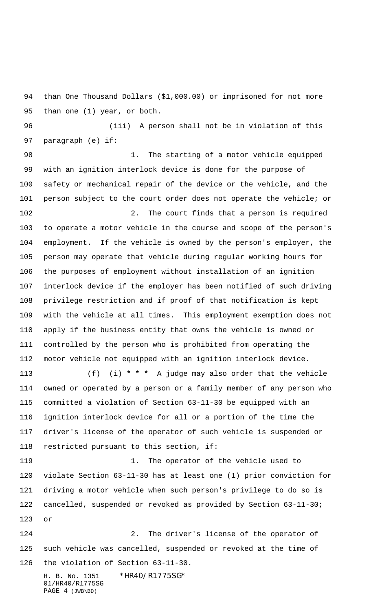than One Thousand Dollars (\$1,000.00) or imprisoned for not more than one (1) year, or both.

 (iii) A person shall not be in violation of this paragraph (e) if:

98 1. The starting of a motor vehicle equipped with an ignition interlock device is done for the purpose of safety or mechanical repair of the device or the vehicle, and the person subject to the court order does not operate the vehicle; or 102 2. The court finds that a person is required

 to operate a motor vehicle in the course and scope of the person's employment. If the vehicle is owned by the person's employer, the person may operate that vehicle during regular working hours for the purposes of employment without installation of an ignition interlock device if the employer has been notified of such driving privilege restriction and if proof of that notification is kept with the vehicle at all times. This employment exemption does not apply if the business entity that owns the vehicle is owned or controlled by the person who is prohibited from operating the motor vehicle not equipped with an ignition interlock device.

 (f) (i) **\* \* \*** A judge may also order that the vehicle owned or operated by a person or a family member of any person who committed a violation of Section 63-11-30 be equipped with an ignition interlock device for all or a portion of the time the driver's license of the operator of such vehicle is suspended or restricted pursuant to this section, if:

119 1. The operator of the vehicle used to violate Section 63-11-30 has at least one (1) prior conviction for driving a motor vehicle when such person's privilege to do so is cancelled, suspended or revoked as provided by Section 63-11-30; or

H. B. No. 1351 \*HR40/R1775SG\* 2. The driver's license of the operator of such vehicle was cancelled, suspended or revoked at the time of the violation of Section 63-11-30.

01/HR40/R1775SG PAGE 4 (JWB\BD)